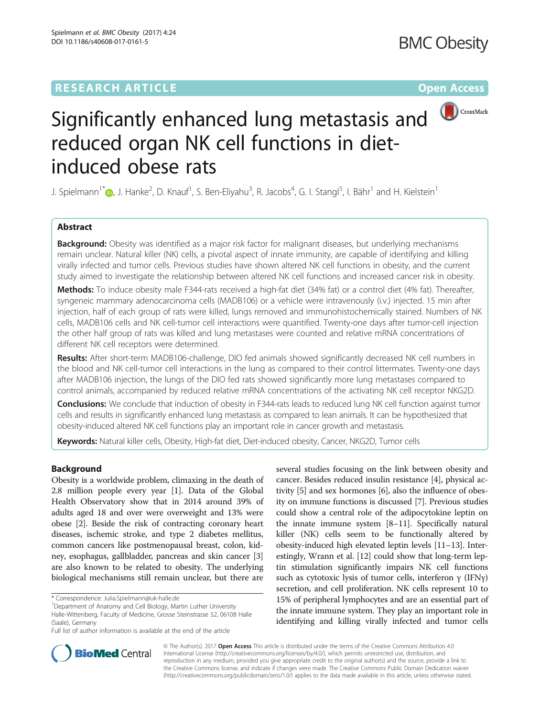

# Significantly enhanced lung metastasis and reduced organ NK cell functions in dietinduced obese rats

J. Spielmann<sup>1\*</sup>�[,](http://orcid.org/0000-0001-9673-8891) J. Hanke<sup>2</sup>, D. Knauf<sup>1</sup>, S. Ben-Eliyahu<sup>3</sup>, R. Jacobs<sup>4</sup>, G. I. Stangl<sup>5</sup>, I. Bähr<sup>1</sup> and H. Kielstein<sup>1</sup>

# Abstract

**Background:** Obesity was identified as a major risk factor for malignant diseases, but underlying mechanisms remain unclear. Natural killer (NK) cells, a pivotal aspect of innate immunity, are capable of identifying and killing virally infected and tumor cells. Previous studies have shown altered NK cell functions in obesity, and the current study aimed to investigate the relationship between altered NK cell functions and increased cancer risk in obesity.

Methods: To induce obesity male F344-rats received a high-fat diet (34% fat) or a control diet (4% fat). Thereafter, syngeneic mammary adenocarcinoma cells (MADB106) or a vehicle were intravenously (i.v.) injected. 15 min after injection, half of each group of rats were killed, lungs removed and immunohistochemically stained. Numbers of NK cells, MADB106 cells and NK cell-tumor cell interactions were quantified. Twenty-one days after tumor-cell injection the other half group of rats was killed and lung metastases were counted and relative mRNA concentrations of different NK cell receptors were determined.

Results: After short-term MADB106-challenge, DIO fed animals showed significantly decreased NK cell numbers in the blood and NK cell-tumor cell interactions in the lung as compared to their control littermates. Twenty-one days after MADB106 injection, the lungs of the DIO fed rats showed significantly more lung metastases compared to control animals, accompanied by reduced relative mRNA concentrations of the activating NK cell receptor NKG2D.

Conclusions: We conclude that induction of obesity in F344-rats leads to reduced lung NK cell function against tumor cells and results in significantly enhanced lung metastasis as compared to lean animals. It can be hypothesized that obesity-induced altered NK cell functions play an important role in cancer growth and metastasis.

Keywords: Natural killer cells, Obesity, High-fat diet, Diet-induced obesity, Cancer, NKG2D, Tumor cells

# Background

Obesity is a worldwide problem, climaxing in the death of 2.8 million people every year [\[1](#page-8-0)]. Data of the Global Health Observatory show that in 2014 around 39% of adults aged 18 and over were overweight and 13% were obese [[2\]](#page-8-0). Beside the risk of contracting coronary heart diseases, ischemic stroke, and type 2 diabetes mellitus, common cancers like postmenopausal breast, colon, kidney, esophagus, gallbladder, pancreas and skin cancer [[3](#page-8-0)] are also known to be related to obesity. The underlying biological mechanisms still remain unclear, but there are

several studies focusing on the link between obesity and cancer. Besides reduced insulin resistance [[4](#page-8-0)], physical activity [\[5](#page-8-0)] and sex hormones [\[6](#page-8-0)], also the influence of obesity on immune functions is discussed [[7](#page-8-0)]. Previous studies could show a central role of the adipocytokine leptin on the innate immune system [[8](#page-8-0)–[11](#page-8-0)]. Specifically natural killer (NK) cells seem to be functionally altered by obesity-induced high elevated leptin levels [\[11](#page-8-0)–[13](#page-8-0)]. Interestingly, Wrann et al. [[12](#page-8-0)] could show that long-term leptin stimulation significantly impairs NK cell functions such as cytotoxic lysis of tumor cells, interferon  $\gamma$  (IFN $\gamma$ ) secretion, and cell proliferation. NK cells represent 10 to 15% of peripheral lymphocytes and are an essential part of the innate immune system. They play an important role in identifying and killing virally infected and tumor cells



© The Author(s). 2017 **Open Access** This article is distributed under the terms of the Creative Commons Attribution 4.0 International License [\(http://creativecommons.org/licenses/by/4.0/](http://creativecommons.org/licenses/by/4.0/)), which permits unrestricted use, distribution, and reproduction in any medium, provided you give appropriate credit to the original author(s) and the source, provide a link to the Creative Commons license, and indicate if changes were made. The Creative Commons Public Domain Dedication waiver [\(http://creativecommons.org/publicdomain/zero/1.0/](http://creativecommons.org/publicdomain/zero/1.0/)) applies to the data made available in this article, unless otherwise stated.

<sup>\*</sup> Correspondence: [Julia.Spielmann@uk-halle.de](mailto:Julia.Spielmann@uk-halle.de) <sup>1</sup>

<sup>&</sup>lt;sup>1</sup>Department of Anatomy and Cell Biology, Martin Luther University Halle-Wittenberg, Faculty of Medicine, Grosse Steinstrasse 52, 06108 Halle (Saale), Germany

Full list of author information is available at the end of the article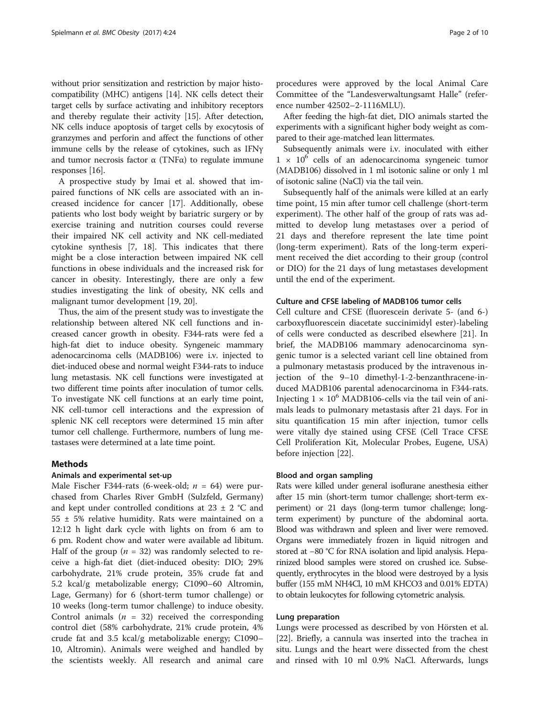without prior sensitization and restriction by major histocompatibility (MHC) antigens [\[14\]](#page-8-0). NK cells detect their target cells by surface activating and inhibitory receptors and thereby regulate their activity [[15](#page-8-0)]. After detection, NK cells induce apoptosis of target cells by exocytosis of granzymes and perforin and affect the functions of other immune cells by the release of cytokines, such as IFNγ and tumor necrosis factor  $\alpha$  (TNF $\alpha$ ) to regulate immune responses [\[16\]](#page-8-0).

A prospective study by Imai et al. showed that impaired functions of NK cells are associated with an increased incidence for cancer [\[17](#page-8-0)]. Additionally, obese patients who lost body weight by bariatric surgery or by exercise training and nutrition courses could reverse their impaired NK cell activity and NK cell-mediated cytokine synthesis [\[7, 18\]](#page-8-0). This indicates that there might be a close interaction between impaired NK cell functions in obese individuals and the increased risk for cancer in obesity. Interestingly, there are only a few studies investigating the link of obesity, NK cells and malignant tumor development [[19](#page-8-0), [20](#page-8-0)].

Thus, the aim of the present study was to investigate the relationship between altered NK cell functions and increased cancer growth in obesity. F344-rats were fed a high-fat diet to induce obesity. Syngeneic mammary adenocarcinoma cells (MADB106) were i.v. injected to diet-induced obese and normal weight F344-rats to induce lung metastasis. NK cell functions were investigated at two different time points after inoculation of tumor cells. To investigate NK cell functions at an early time point, NK cell-tumor cell interactions and the expression of splenic NK cell receptors were determined 15 min after tumor cell challenge. Furthermore, numbers of lung metastases were determined at a late time point.

# **Methods**

#### Animals and experimental set-up

Male Fischer F344-rats (6-week-old;  $n = 64$ ) were purchased from Charles River GmbH (Sulzfeld, Germany) and kept under controlled conditions at 23  $\pm$  2 °C and 55 ± 5% relative humidity. Rats were maintained on a 12:12 h light dark cycle with lights on from 6 am to 6 pm. Rodent chow and water were available ad libitum. Half of the group ( $n = 32$ ) was randomly selected to receive a high-fat diet (diet-induced obesity: DIO; 29% carbohydrate, 21% crude protein, 35% crude fat and 5.2 kcal/g metabolizable energy; C1090–60 Altromin, Lage, Germany) for 6 (short-term tumor challenge) or 10 weeks (long-term tumor challenge) to induce obesity. Control animals ( $n = 32$ ) received the corresponding control diet (58% carbohydrate, 21% crude protein, 4% crude fat and 3.5 kcal/g metabolizable energy; C1090– 10, Altromin). Animals were weighed and handled by the scientists weekly. All research and animal care procedures were approved by the local Animal Care Committee of the "Landesverwaltungsamt Halle" (reference number 42502–2-1116MLU).

After feeding the high-fat diet, DIO animals started the experiments with a significant higher body weight as compared to their age-matched lean littermates.

Subsequently animals were i.v. inoculated with either  $1 \times 10^6$  cells of an adenocarcinoma syngeneic tumor (MADB106) dissolved in 1 ml isotonic saline or only 1 ml of isotonic saline (NaCl) via the tail vein.

Subsequently half of the animals were killed at an early time point, 15 min after tumor cell challenge (short-term experiment). The other half of the group of rats was admitted to develop lung metastases over a period of 21 days and therefore represent the late time point (long-term experiment). Rats of the long-term experiment received the diet according to their group (control or DIO) for the 21 days of lung metastases development until the end of the experiment.

### Culture and CFSE labeling of MADB106 tumor cells

Cell culture and CFSE (fluorescein derivate 5- (and 6-) carboxyfluorescein diacetate succinimidyl ester)-labeling of cells were conducted as described elsewhere [[21](#page-8-0)]. In brief, the MADB106 mammary adenocarcinoma syngenic tumor is a selected variant cell line obtained from a pulmonary metastasis produced by the intravenous injection of the 9–10 dimethyl-1-2-benzanthracene-induced MADB106 parental adenocarcinoma in F344-rats. Injecting  $1 \times 10^6$  MADB106-cells via the tail vein of animals leads to pulmonary metastasis after 21 days. For in situ quantification 15 min after injection, tumor cells were vitally dye stained using CFSE (Cell Trace CFSE Cell Proliferation Kit, Molecular Probes, Eugene, USA) before injection [[22\]](#page-8-0).

#### Blood and organ sampling

Rats were killed under general isoflurane anesthesia either after 15 min (short-term tumor challenge; short-term experiment) or 21 days (long-term tumor challenge; longterm experiment) by puncture of the abdominal aorta. Blood was withdrawn and spleen and liver were removed. Organs were immediately frozen in liquid nitrogen and stored at −80 °C for RNA isolation and lipid analysis. Heparinized blood samples were stored on crushed ice. Subsequently, erythrocytes in the blood were destroyed by a lysis buffer (155 mM NH4Cl, 10 mM KHCO3 and 0.01% EDTA) to obtain leukocytes for following cytometric analysis.

#### Lung preparation

Lungs were processed as described by von Hörsten et al. [[22\]](#page-8-0). Briefly, a cannula was inserted into the trachea in situ. Lungs and the heart were dissected from the chest and rinsed with 10 ml 0.9% NaCl. Afterwards, lungs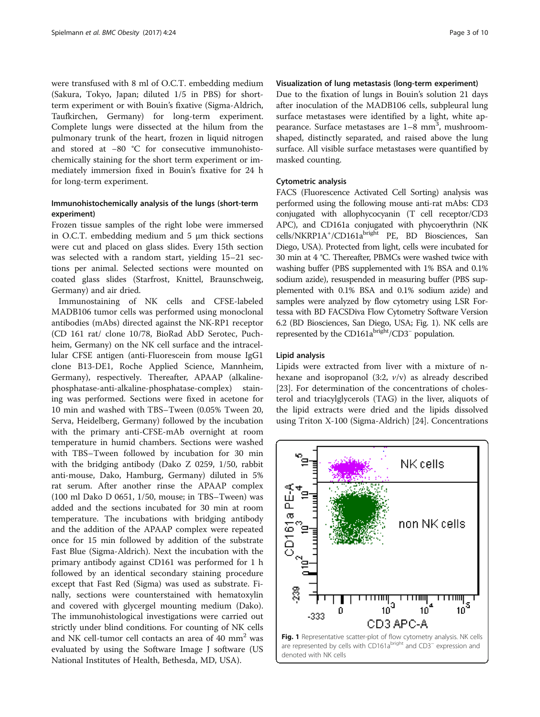were transfused with 8 ml of O.C.T. embedding medium (Sakura, Tokyo, Japan; diluted 1/5 in PBS) for shortterm experiment or with Bouin's fixative (Sigma-Aldrich, Taufkirchen, Germany) for long-term experiment. Complete lungs were dissected at the hilum from the pulmonary trunk of the heart, frozen in liquid nitrogen and stored at −80 °C for consecutive immunohistochemically staining for the short term experiment or immediately immersion fixed in Bouin's fixative for 24 h for long-term experiment.

# Immunohistochemically analysis of the lungs (short-term experiment)

Frozen tissue samples of the right lobe were immersed in O.C.T. embedding medium and 5 μm thick sections were cut and placed on glass slides. Every 15th section was selected with a random start, yielding 15–21 sections per animal. Selected sections were mounted on coated glass slides (Starfrost, Knittel, Braunschweig, Germany) and air dried.

Immunostaining of NK cells and CFSE-labeled MADB106 tumor cells was performed using monoclonal antibodies (mAbs) directed against the NK-RP1 receptor (CD 161 rat/ clone 10/78, BioRad AbD Serotec, Puchheim, Germany) on the NK cell surface and the intracellular CFSE antigen (anti-Fluorescein from mouse IgG1 clone B13-DE1, Roche Applied Science, Mannheim, Germany), respectively. Thereafter, APAAP (alkalinephosphatase-anti-alkaline-phosphatase-complex) staining was performed. Sections were fixed in acetone for 10 min and washed with TBS–Tween (0.05% Tween 20, Serva, Heidelberg, Germany) followed by the incubation with the primary anti-CFSE-mAb overnight at room temperature in humid chambers. Sections were washed with TBS–Tween followed by incubation for 30 min with the bridging antibody (Dako Z 0259, 1/50, rabbit anti-mouse, Dako, Hamburg, Germany) diluted in 5% rat serum. After another rinse the APAAP complex (100 ml Dako D 0651, 1/50, mouse; in TBS–Tween) was added and the sections incubated for 30 min at room temperature. The incubations with bridging antibody and the addition of the APAAP complex were repeated once for 15 min followed by addition of the substrate Fast Blue (Sigma-Aldrich). Next the incubation with the primary antibody against CD161 was performed for 1 h followed by an identical secondary staining procedure except that Fast Red (Sigma) was used as substrate. Finally, sections were counterstained with hematoxylin and covered with glycergel mounting medium (Dako). The immunohistological investigations were carried out strictly under blind conditions. For counting of NK cells and NK cell-tumor cell contacts an area of  $40 \text{ mm}^2$  was evaluated by using the Software Image J software (US National Institutes of Health, Bethesda, MD, USA).

# Visualization of lung metastasis (long-term experiment)

Due to the fixation of lungs in Bouin's solution 21 days after inoculation of the MADB106 cells, subpleural lung surface metastases were identified by a light, white appearance. Surface metastases are  $1-8$  mm<sup>3</sup>, mushroomshaped, distinctly separated, and raised above the lung surface. All visible surface metastases were quantified by masked counting.

# Cytometric analysis

FACS (Fluorescence Activated Cell Sorting) analysis was performed using the following mouse anti-rat mAbs: CD3 conjugated with allophycocyanin (T cell receptor/CD3 APC), and CD161a conjugated with phycoerythrin (NK cells/NKRP1A<sup>+</sup>/CD161a<sup>bright</sup> PE, BD Biosciences, San Diego, USA). Protected from light, cells were incubated for 30 min at 4 °C. Thereafter, PBMCs were washed twice with washing buffer (PBS supplemented with 1% BSA and 0.1% sodium azide), resuspended in measuring buffer (PBS supplemented with 0.1% BSA and 0.1% sodium azide) and samples were analyzed by flow cytometry using LSR Fortessa with BD FACSDiva Flow Cytometry Software Version 6.2 (BD Biosciences, San Diego, USA; Fig. 1). NK cells are represented by the CD161a<sup>bright</sup>/CD3<sup>−</sup> population.

#### Lipid analysis

Lipids were extracted from liver with a mixture of nhexane and isopropanol  $(3:2, v/v)$  as already described [[23\]](#page-8-0). For determination of the concentrations of cholesterol and triacylglycerols (TAG) in the liver, aliquots of the lipid extracts were dried and the lipids dissolved using Triton X-100 (Sigma-Aldrich) [[24\]](#page-8-0). Concentrations

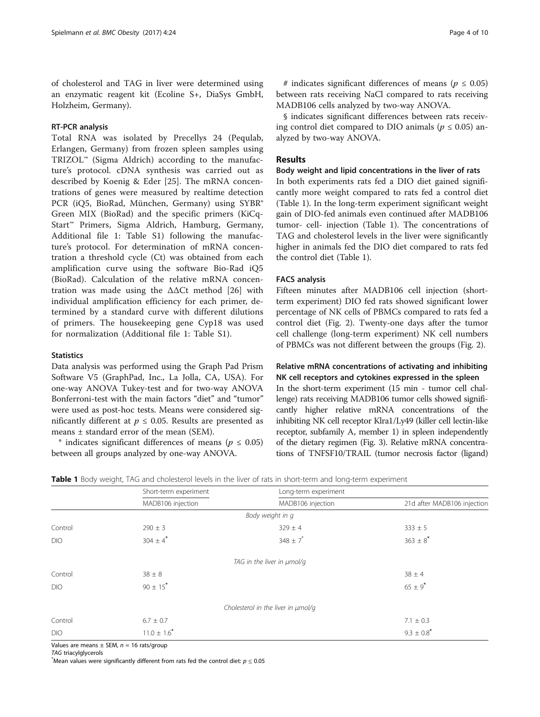of cholesterol and TAG in liver were determined using an enzymatic reagent kit (Ecoline S+, DiaSys GmbH, Holzheim, Germany).

# RT-PCR analysis

Total RNA was isolated by Precellys 24 (Pequlab, Erlangen, Germany) from frozen spleen samples using TRIZOL™ (Sigma Aldrich) according to the manufacture's protocol. cDNA synthesis was carried out as described by Koenig & Eder [[25\]](#page-8-0). The mRNA concentrations of genes were measured by realtime detection PCR (iQ5, BioRad, München, Germany) using SYBR® Green MIX (BioRad) and the specific primers (KiCq-Start™ Primers, Sigma Aldrich, Hamburg, Germany, Additional file [1:](#page-7-0) Table S1) following the manufacture's protocol. For determination of mRNA concentration a threshold cycle (Ct) was obtained from each amplification curve using the software Bio-Rad iQ5 (BioRad). Calculation of the relative mRNA concentration was made using the  $\Delta\Delta$ Ct method [[26\]](#page-8-0) with individual amplification efficiency for each primer, determined by a standard curve with different dilutions of primers. The housekeeping gene Cyp18 was used for normalization (Additional file [1](#page-7-0): Table S1).

# **Statistics**

Data analysis was performed using the Graph Pad Prism Software V5 (GraphPad, Inc., La Jolla, CA, USA). For one-way ANOVA Tukey-test and for two-way ANOVA Bonferroni-test with the main factors "diet" and "tumor" were used as post-hoc tests. Means were considered significantly different at  $p \le 0.05$ . Results are presented as means ± standard error of the mean (SEM).

\* indicates significant differences of means ( $p \le 0.05$ ) between all groups analyzed by one-way ANOVA.

# indicates significant differences of means ( $p \le 0.05$ ) between rats receiving NaCl compared to rats receiving MADB106 cells analyzed by two-way ANOVA.

§ indicates significant differences between rats receiving control diet compared to DIO animals ( $p \le 0.05$ ) analyzed by two-way ANOVA.

# Results

#### Body weight and lipid concentrations in the liver of rats

In both experiments rats fed a DIO diet gained significantly more weight compared to rats fed a control diet (Table 1). In the long-term experiment significant weight gain of DIO-fed animals even continued after MADB106 tumor- cell- injection (Table 1). The concentrations of TAG and cholesterol levels in the liver were significantly higher in animals fed the DIO diet compared to rats fed the control diet (Table 1).

### FACS analysis

Fifteen minutes after MADB106 cell injection (shortterm experiment) DIO fed rats showed significant lower percentage of NK cells of PBMCs compared to rats fed a control diet (Fig. [2](#page-4-0)). Twenty-one days after the tumor cell challenge (long-term experiment) NK cell numbers of PBMCs was not different between the groups (Fig. [2](#page-4-0)).

# Relative mRNA concentrations of activating and inhibiting NK cell receptors and cytokines expressed in the spleen

In the short-term experiment (15 min - tumor cell challenge) rats receiving MADB106 tumor cells showed significantly higher relative mRNA concentrations of the inhibiting NK cell receptor Klra1/Ly49 (killer cell lectin-like receptor, subfamily A, member 1) in spleen independently of the dietary regimen (Fig. [3](#page-4-0)). Relative mRNA concentrations of TNFSF10/TRAIL (tumor necrosis factor (ligand)

|            | Short-term experiment    | Long-term experiment               |                             |  |  |
|------------|--------------------------|------------------------------------|-----------------------------|--|--|
|            | MADB106 injection        | MADB106 injection                  | 21d after MADB106 injection |  |  |
|            |                          | Body weight in q                   |                             |  |  |
| Control    | $290 \pm 3$              | $329 \pm 4$                        | $333 \pm 5$                 |  |  |
| <b>DIO</b> | $304 \pm 4$ <sup>*</sup> | $348 \pm 7$                        | $363 \pm 8$ <sup>*</sup>    |  |  |
|            |                          | TAG in the liver in µmol/g         |                             |  |  |
| Control    | $38 \pm 8$               |                                    | $38 \pm 4$                  |  |  |
| <b>DIO</b> | $90 \pm 15$ <sup>*</sup> |                                    | $65 \pm 9^*$                |  |  |
|            |                          | Cholesterol in the liver in umol/g |                             |  |  |
| Control    | $6.7 \pm 0.7$            |                                    | $7.1 \pm 0.3$               |  |  |
| <b>DIO</b> | $11.0 \pm 1.6$           |                                    | $9.3 \pm 0.8$ <sup>*</sup>  |  |  |

|  |  |  |  |  |  |  |  | Table 1 Body weight, TAG and cholesterol levels in the liver of rats in short-term and long-term experiment |  |
|--|--|--|--|--|--|--|--|-------------------------------------------------------------------------------------------------------------|--|
|--|--|--|--|--|--|--|--|-------------------------------------------------------------------------------------------------------------|--|

Values are means  $\pm$  SEM,  $n = 16$  rats/group

TAG triacylglycerols

 $^*$ Mean values were significantly different from rats fed the control diet:  $p \leq 0.05$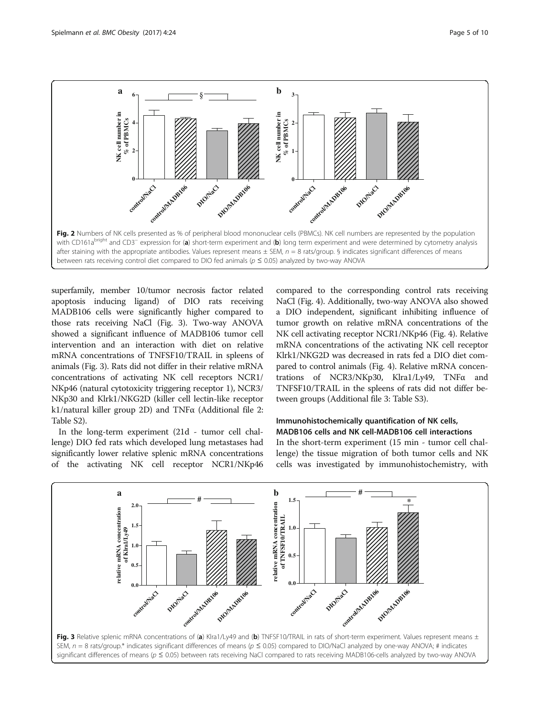<span id="page-4-0"></span>

superfamily, member 10/tumor necrosis factor related apoptosis inducing ligand) of DIO rats receiving MADB106 cells were significantly higher compared to those rats receiving NaCl (Fig. 3). Two-way ANOVA showed a significant influence of MADB106 tumor cell intervention and an interaction with diet on relative mRNA concentrations of TNFSF10/TRAIL in spleens of animals (Fig. 3). Rats did not differ in their relative mRNA concentrations of activating NK cell receptors NCR1/ NKp46 (natural cytotoxicity triggering receptor 1), NCR3/ NKp30 and Klrk1/NKG2D (killer cell lectin-like receptor k1/natural killer group 2D) and TNFα (Additional file [2](#page-7-0): Table S2).

In the long-term experiment (21d - tumor cell challenge) DIO fed rats which developed lung metastases had significantly lower relative splenic mRNA concentrations of the activating NK cell receptor NCR1/NKp46

compared to the corresponding control rats receiving NaCl (Fig. [4](#page-5-0)). Additionally, two-way ANOVA also showed a DIO independent, significant inhibiting influence of tumor growth on relative mRNA concentrations of the NK cell activating receptor NCR1/NKp46 (Fig. [4](#page-5-0)). Relative mRNA concentrations of the activating NK cell receptor Klrk1/NKG2D was decreased in rats fed a DIO diet compared to control animals (Fig. [4](#page-5-0)). Relative mRNA concentrations of NCR3/NKp30, Klra1/Ly49, TNFα and TNFSF10/TRAIL in the spleens of rats did not differ between groups (Additional file [3:](#page-7-0) Table S3).

# Immunohistochemically quantification of NK cells, MADB106 cells and NK cell-MADB106 cell interactions

In the short-term experiment (15 min - tumor cell challenge) the tissue migration of both tumor cells and NK cells was investigated by immunohistochemistry, with

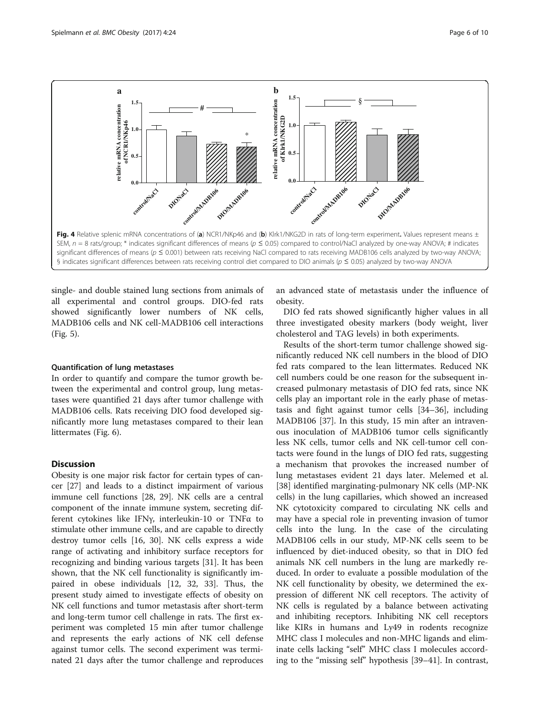<span id="page-5-0"></span>

single- and double stained lung sections from animals of all experimental and control groups. DIO-fed rats showed significantly lower numbers of NK cells, MADB106 cells and NK cell-MADB106 cell interactions (Fig. [5](#page-6-0)).

### Quantification of lung metastases

In order to quantify and compare the tumor growth between the experimental and control group, lung metastases were quantified 21 days after tumor challenge with MADB106 cells. Rats receiving DIO food developed significantly more lung metastases compared to their lean littermates (Fig. [6\)](#page-7-0).

# **Discussion**

Obesity is one major risk factor for certain types of cancer [[27\]](#page-8-0) and leads to a distinct impairment of various immune cell functions [[28](#page-8-0), [29\]](#page-8-0). NK cells are a central component of the innate immune system, secreting different cytokines like IFNγ, interleukin-10 or TNFα to stimulate other immune cells, and are capable to directly destroy tumor cells [[16, 30\]](#page-8-0). NK cells express a wide range of activating and inhibitory surface receptors for recognizing and binding various targets [\[31](#page-8-0)]. It has been shown, that the NK cell functionality is significantly impaired in obese individuals [[12, 32](#page-8-0), [33](#page-8-0)]. Thus, the present study aimed to investigate effects of obesity on NK cell functions and tumor metastasis after short-term and long-term tumor cell challenge in rats. The first experiment was completed 15 min after tumor challenge and represents the early actions of NK cell defense against tumor cells. The second experiment was terminated 21 days after the tumor challenge and reproduces an advanced state of metastasis under the influence of obesity.

DIO fed rats showed significantly higher values in all three investigated obesity markers (body weight, liver cholesterol and TAG levels) in both experiments.

Results of the short-term tumor challenge showed significantly reduced NK cell numbers in the blood of DIO fed rats compared to the lean littermates. Reduced NK cell numbers could be one reason for the subsequent increased pulmonary metastasis of DIO fed rats, since NK cells play an important role in the early phase of metastasis and fight against tumor cells [\[34](#page-8-0)–[36\]](#page-8-0), including MADB106 [[37](#page-8-0)]. In this study, 15 min after an intravenous inoculation of MADB106 tumor cells significantly less NK cells, tumor cells and NK cell-tumor cell contacts were found in the lungs of DIO fed rats, suggesting a mechanism that provokes the increased number of lung metastases evident 21 days later. Melemed et al. [[38\]](#page-8-0) identified marginating-pulmonary NK cells (MP-NK cells) in the lung capillaries, which showed an increased NK cytotoxicity compared to circulating NK cells and may have a special role in preventing invasion of tumor cells into the lung. In the case of the circulating MADB106 cells in our study, MP-NK cells seem to be influenced by diet-induced obesity, so that in DIO fed animals NK cell numbers in the lung are markedly reduced. In order to evaluate a possible modulation of the NK cell functionality by obesity, we determined the expression of different NK cell receptors. The activity of NK cells is regulated by a balance between activating and inhibiting receptors. Inhibiting NK cell receptors like KIRs in humans and Ly49 in rodents recognize MHC class I molecules and non-MHC ligands and eliminate cells lacking "self" MHC class I molecules according to the "missing self" hypothesis [[39](#page-9-0)–[41](#page-9-0)]. In contrast,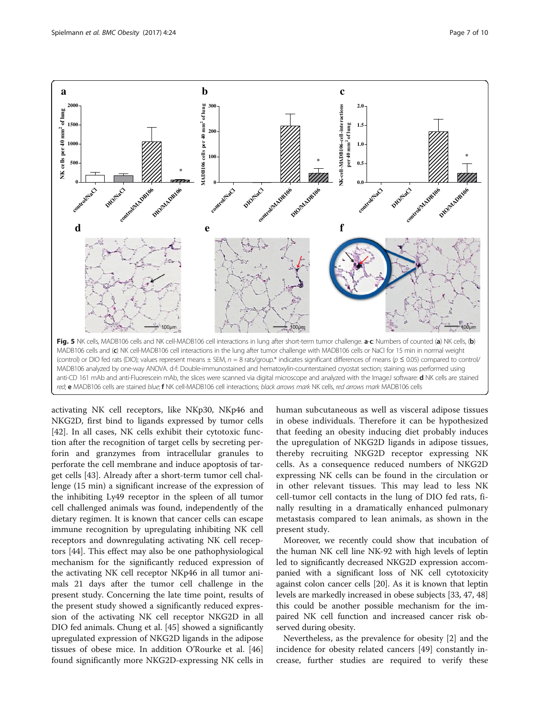<span id="page-6-0"></span>

activating NK cell receptors, like NKp30, NKp46 and NKG2D, first bind to ligands expressed by tumor cells [[42\]](#page-9-0). In all cases, NK cells exhibit their cytotoxic function after the recognition of target cells by secreting perforin and granzymes from intracellular granules to perforate the cell membrane and induce apoptosis of target cells [[43\]](#page-9-0). Already after a short-term tumor cell challenge (15 min) a significant increase of the expression of the inhibiting Ly49 receptor in the spleen of all tumor cell challenged animals was found, independently of the dietary regimen. It is known that cancer cells can escape immune recognition by upregulating inhibiting NK cell receptors and downregulating activating NK cell receptors [[44\]](#page-9-0). This effect may also be one pathophysiological mechanism for the significantly reduced expression of the activating NK cell receptor NKp46 in all tumor animals 21 days after the tumor cell challenge in the present study. Concerning the late time point, results of the present study showed a significantly reduced expression of the activating NK cell receptor NKG2D in all DIO fed animals. Chung et al. [\[45\]](#page-9-0) showed a significantly upregulated expression of NKG2D ligands in the adipose tissues of obese mice. In addition O'Rourke et al. [[46](#page-9-0)] found significantly more NKG2D-expressing NK cells in

human subcutaneous as well as visceral adipose tissues in obese individuals. Therefore it can be hypothesized that feeding an obesity inducing diet probably induces the upregulation of NKG2D ligands in adipose tissues, thereby recruiting NKG2D receptor expressing NK cells. As a consequence reduced numbers of NKG2D expressing NK cells can be found in the circulation or in other relevant tissues. This may lead to less NK cell-tumor cell contacts in the lung of DIO fed rats, finally resulting in a dramatically enhanced pulmonary metastasis compared to lean animals, as shown in the present study.

Moreover, we recently could show that incubation of the human NK cell line NK-92 with high levels of leptin led to significantly decreased NKG2D expression accompanied with a significant loss of NK cell cytotoxicity against colon cancer cells [\[20\]](#page-8-0). As it is known that leptin levels are markedly increased in obese subjects [\[33,](#page-8-0) [47](#page-9-0), [48](#page-9-0)] this could be another possible mechanism for the impaired NK cell function and increased cancer risk observed during obesity.

Nevertheless, as the prevalence for obesity [[2\]](#page-8-0) and the incidence for obesity related cancers [\[49](#page-9-0)] constantly increase, further studies are required to verify these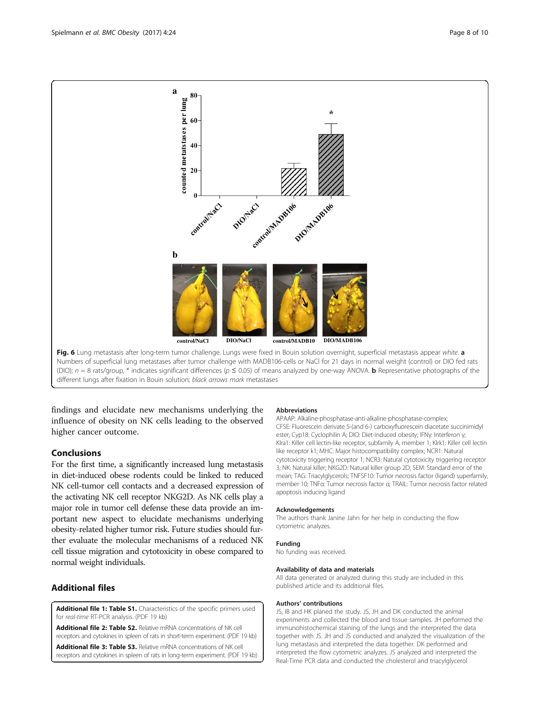<span id="page-7-0"></span>

different lungs after fixation in Bouin solution; black arrows mark metastases

findings and elucidate new mechanisms underlying the influence of obesity on NK cells leading to the observed higher cancer outcome.

# Conclusions

For the first time, a significantly increased lung metastasis in diet-induced obese rodents could be linked to reduced NK cell-tumor cell contacts and a decreased expression of the activating NK cell receptor NKG2D. As NK cells play a major role in tumor cell defense these data provide an important new aspect to elucidate mechanisms underlying obesity-related higher tumor risk. Future studies should further evaluate the molecular mechanisms of a reduced NK cell tissue migration and cytotoxicity in obese compared to normal weight individuals.

# Additional files

[Additional file 1: Table S1.](dx.doi.org/10.1186/s40608-017-0161-5) Characteristics of the specific primers used for real-time RT-PCR analysis. (PDF 19 kb)

[Additional file 2: Table S2.](dx.doi.org/10.1186/s40608-017-0161-5) Relative mRNA concentrations of NK cell receptors and cytokines in spleen of rats in short-term experiment. (PDF 19 kb)

[Additional file 3: Table S3.](dx.doi.org/10.1186/s40608-017-0161-5) Relative mRNA concentrations of NK cell receptors and cytokines in spleen of rats in long-term experiment. (PDF 19 kb)

#### Abbreviations

APAAP: Alkaline-phosphatase-anti-alkaline-phosphatase-complex; CFSE: Fluorescein derivate 5-(and 6-) carboxyfluorescein diacetate succinimidyl ester; Cyp18: Cyclophilin A; DIO: Diet-induced obesity; IFNγ: Interferon γ; Klra1: Killer cell lectin-like receptor, subfamily A, member 1; Klrk1: Killer cell lectin like receptor k1; MHC: Major histocompatibility complex; NCR1: Natural cytotoxicity triggering receptor 1; NCR3: Natural cytotoxicity triggering receptor 3; NK: Natural killer; NKG2D: Natural killer group 2D; SEM: Standard error of the mean; TAG: Triacylglycerols; TNFSF10: Tumor necrosis factor (ligand) superfamily, member 10; TNFα: Tumor necrosis factor α; TRAIL: Tumor necrosis factor related apoptosis inducing ligand

#### Acknowledgements

The authors thank Janine Jahn for her help in conducting the flow cytometric analyzes.

#### Funding

No funding was received.

#### Availability of data and materials

All data generated or analyzed during this study are included in this published article and its additional files.

#### Authors' contributions

JS, IB and HK planed the study. JS, JH and DK conducted the animal experiments and collected the blood and tissue samples. JH performed the immunohistochemical staining of the lungs and the interpreted the data together with JS. JH and JS conducted and analyzed the visualization of the lung metastasis and interpreted the data together. DK performed and interpreted the flow cytometric analyzes. JS analyzed and interpreted the Real-Time PCR data and conducted the cholesterol and triacylglycerol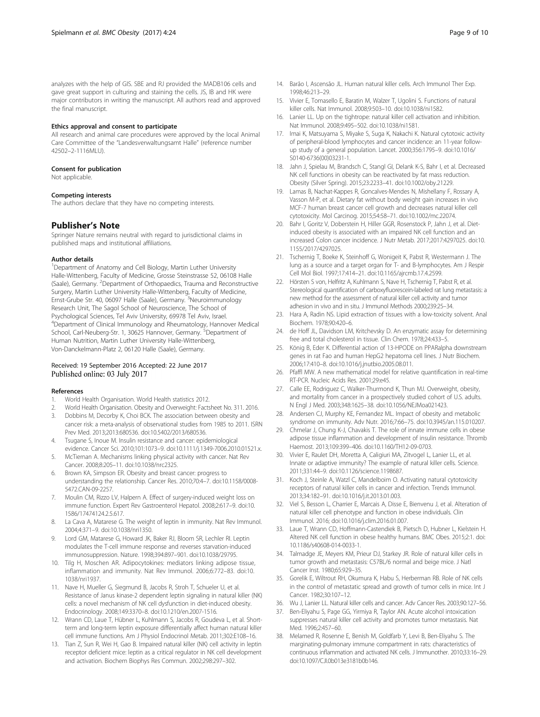<span id="page-8-0"></span>analyzes with the help of GIS. SBE and RJ provided the MADB106 cells and gave great support in culturing and staining the cells. JS, IB and HK were major contributors in writing the manuscript. All authors read and approved the final manuscript.

#### Ethics approval and consent to participate

All research and animal care procedures were approved by the local Animal Care Committee of the "Landesverwaltungsamt Halle" (reference number 42502–2-1116MLU).

#### Consent for publication

Not applicable.

#### Competing interests

The authors declare that they have no competing interests.

#### Publisher's Note

Springer Nature remains neutral with regard to jurisdictional claims in published maps and institutional affiliations.

#### Author details

<sup>1</sup>Department of Anatomy and Cell Biology, Martin Luther University Halle-Wittenberg, Faculty of Medicine, Grosse Steinstrasse 52, 06108 Halle (Saale), Germany. <sup>2</sup>Department of Orthopaedics, Trauma and Reconstructive Surgery, Martin Luther University Halle-Wittenberg, Faculty of Medicine, Ernst-Grube Str. 40, 06097 Halle (Saale), Germany. <sup>3</sup>Neuroimmunology Research Unit, The Sagol School of Neuroscience, The School of Psychological Sciences, Tel Aviv University, 69978 Tel Aviv, Israel. 4 Department of Clinical Immunology and Rheumatology, Hannover Medical School, Carl-Neuberg-Str. 1, 30625 Hannover, Germany. <sup>5</sup>Department of Human Nutrition, Martin Luther University Halle-Wittenberg, Von-Danckelmann-Platz 2, 06120 Halle (Saale), Germany.

#### Received: 19 September 2016 Accepted: 22 June 2017 Published online: 03 July 2017

#### References

- 1. World Health Organisation. World Health statistics 2012.
- 2. World Health Organisation. Obesity and Overweight: Factsheet No. 311. 2016.
- 3. Dobbins M, Decorby K, Choi BCK. The association between obesity and cancer risk: a meta-analysis of observational studies from 1985 to 2011. ISRN Prev Med. 2013;2013:680536. doi:[10.5402/2013/680536.](http://dx.doi.org/10.5402/2013/680536)
- 4. Tsugane S, Inoue M. Insulin resistance and cancer: epidemiological evidence. Cancer Sci. 2010;101:1073–9. doi[:10.1111/j.1349-7006.2010.01521.x.](http://dx.doi.org/10.1111/j.1349-7006.2010.01521.x)
- 5. McTiernan A. Mechanisms linking physical activity with cancer. Nat Rev Cancer. 2008;8:205–11. doi[:10.1038/nrc2325](http://dx.doi.org/10.1038/nrc2325).
- 6. Brown KA, Simpson ER. Obesity and breast cancer: progress to understanding the relationship. Cancer Res. 2010;70:4–7. doi:[10.1158/0008-](http://dx.doi.org/10.1158/0008-5472.CAN-09-2257) [5472.CAN-09-2257.](http://dx.doi.org/10.1158/0008-5472.CAN-09-2257)
- 7. Moulin CM, Rizzo LV, Halpern A. Effect of surgery-induced weight loss on immune function. Expert Rev Gastroenterol Hepatol. 2008;2:617–9. doi[:10.](http://dx.doi.org/10.1586/17474124.2.5.617) [1586/17474124.2.5.617.](http://dx.doi.org/10.1586/17474124.2.5.617)
- 8. La Cava A, Matarese G. The weight of leptin in immunity. Nat Rev Immunol. 2004;4:371–9. doi:[10.1038/nri1350](http://dx.doi.org/10.1038/nri1350).
- 9. Lord GM, Matarese G, Howard JK, Baker RJ, Bloom SR, Lechler RI. Leptin modulates the T-cell immune response and reverses starvation-induced immunosuppression. Nature. 1998;394:897–901. doi[:10.1038/29795.](http://dx.doi.org/10.1038/29795)
- 10. Tilg H, Moschen AR. Adipocytokines: mediators linking adipose tissue, inflammation and immunity. Nat Rev Immunol. 2006;6:772–83. doi[:10.](http://dx.doi.org/10.1038/nri1937) [1038/nri1937.](http://dx.doi.org/10.1038/nri1937)
- 11. Nave H, Mueller G, Siegmund B, Jacobs R, Stroh T, Schueler U, et al. Resistance of Janus kinase-2 dependent leptin signaling in natural killer (NK) cells: a novel mechanism of NK cell dysfunction in diet-induced obesity. Endocrinology. 2008;149:3370–8. doi:[10.1210/en.2007-1516.](http://dx.doi.org/10.1210/en.2007-1516)
- 12. Wrann CD, Laue T, Hübner L, Kuhlmann S, Jacobs R, Goudeva L, et al. Shortterm and long-term leptin exposure differentially affect human natural killer cell immune functions. Am J Physiol Endocrinol Metab. 2011;302:E108–16.
- 13. Tian Z, Sun R, Wei H, Gao B. Impaired natural killer (NK) cell activity in leptin receptor deficient mice: leptin as a critical regulator in NK cell development and activation. Biochem Biophys Res Commun. 2002;298:297–302.
- 14. Barão I, Ascensão JL. Human natural killer cells. Arch Immunol Ther Exp. 1998;46:213–29.
- 15. Vivier E, Tomasello E, Baratin M, Walzer T, Ugolini S. Functions of natural killer cells. Nat Immunol. 2008;9:503–10. doi[:10.1038/ni1582](http://dx.doi.org/10.1038/ni1582).
- 16. Lanier LL. Up on the tightrope: natural killer cell activation and inhibition. Nat Immunol. 2008;9:495–502. doi:[10.1038/ni1581](http://dx.doi.org/10.1038/ni1581).
- 17. Imai K, Matsuyama S, Miyake S, Suga K, Nakachi K. Natural cytotoxic activity of peripheral-blood lymphocytes and cancer incidence: an 11-year followup study of a general population. Lancet. 2000;356:1795–9. doi:[10.1016/](http://dx.doi.org/10.1016/S0140-6736(00)03231-1) [S0140-6736\(00\)03231-1](http://dx.doi.org/10.1016/S0140-6736(00)03231-1).
- 18. Jahn J, Spielau M, Brandsch C, Stangl GI, Delank K-S, Bahr I, et al. Decreased NK cell functions in obesity can be reactivated by fat mass reduction. Obesity (Silver Spring). 2015;23:2233–41. doi[:10.1002/oby.21229](http://dx.doi.org/10.1002/oby.21229).
- 19. Lamas B, Nachat-Kappes R, Goncalves-Mendes N, Mishellany F, Rossary A, Vasson M-P, et al. Dietary fat without body weight gain increases in vivo MCF-7 human breast cancer cell growth and decreases natural killer cell cytotoxicity. Mol Carcinog. 2015;54:58–71. doi:[10.1002/mc.22074](http://dx.doi.org/10.1002/mc.22074).
- 20. Bahr I, Goritz V, Doberstein H, Hiller GGR, Rosenstock P, Jahn J, et al. Dietinduced obesity is associated with an impaired NK cell function and an increased Colon cancer incidence. J Nutr Metab. 2017;2017:4297025. doi[:10.](http://dx.doi.org/10.1155/2017/4297025) [1155/2017/4297025.](http://dx.doi.org/10.1155/2017/4297025)
- 21. Tschernig T, Boeke K, Steinhoff G, Wonigeit K, Pabst R, Westermann J. The lung as a source and a target organ for T- and B-lymphocytes. Am J Respir Cell Mol Biol. 1997;17:414–21. doi:[10.1165/ajrcmb.17.4.2599.](http://dx.doi.org/10.1165/ajrcmb.17.4.2599)
- 22. Hörsten S von, Helfritz A, Kuhlmann S, Nave H, Tschernig T, Pabst R, et al. Stereological quantification of carboxyfluorescein-labeled rat lung metastasis: a new method for the assessment of natural killer cell activity and tumor adhesion in vivo and in situ. J Immunol Methods 2000;239:25–34.
- 23. Hara A, Radin NS. Lipid extraction of tissues with a low-toxicity solvent. Anal Biochem. 1978;90:420–6.
- 24. de Hoff JL, Davidson LM, Kritchevsky D. An enzymatic assay for determining free and total cholesterol in tissue. Clin Chem. 1978;24:433–5.
- 25. König B, Eder K. Differential action of 13-HPODE on PPARalpha downstream genes in rat Fao and human HepG2 hepatoma cell lines. J Nutr Biochem. 2006;17:410–8. doi[:10.1016/j.jnutbio.2005.08.011.](http://dx.doi.org/10.1016/j.jnutbio.2005.08.011)
- 26. Pfaffl MW. A new mathematical model for relative quantification in real-time RT-PCR. Nucleic Acids Res. 2001;29:e45.
- 27. Calle EE, Rodriguez C, Walker-Thurmond K, Thun MJ. Overweight, obesity, and mortality from cancer in a prospectively studied cohort of U.S. adults. N Engl J Med. 2003;348:1625–38. doi:[10.1056/NEJMoa021423.](http://dx.doi.org/10.1056/NEJMoa021423)
- 28. Andersen CJ, Murphy KE, Fernandez ML. Impact of obesity and metabolic syndrome on immunity. Adv Nutr. 2016;7:66–75. doi[:10.3945/an.115.010207](http://dx.doi.org/10.3945/an.115.010207).
- 29. Chmelar J, Chung K-J, Chavakis T. The role of innate immune cells in obese adipose tissue inflammation and development of insulin resistance. Thromb Haemost. 2013;109:399–406. doi[:10.1160/TH12-09-0703.](http://dx.doi.org/10.1160/TH12-09-0703)
- 30. Vivier E, Raulet DH, Moretta A, Caligiuri MA, Zitvogel L, Lanier LL, et al. Innate or adaptive immunity? The example of natural killer cells. Science. 2011;331:44–9. doi[:10.1126/science.1198687.](http://dx.doi.org/10.1126/science.1198687)
- 31. Koch J, Steinle A, Watzl C, Mandelboim O. Activating natural cytotoxicity receptors of natural killer cells in cancer and infection. Trends Immunol. 2013;34:182–91. doi:[10.1016/j.it.2013.01.003.](http://dx.doi.org/10.1016/j.it.2013.01.003)
- 32. Viel S, Besson L, Charrier E, Marcais A, Disse E, Bienvenu J, et al. Alteration of natural killer cell phenotype and function in obese individuals. Clin Immunol. 2016; doi[:10.1016/j.clim.2016.01.007](http://dx.doi.org/10.1016/j.clim.2016.01.007).
- 33. Laue T, Wrann CD, Hoffmann-Castendiek B, Pietsch D, Hubner L, Kielstein H. Altered NK cell function in obese healthy humans. BMC Obes. 2015;2:1. doi: [10.1186/s40608-014-0033-1](http://dx.doi.org/10.1186/s40608-014-0033-1).
- 34. Talmadge JE, Meyers KM, Prieur DJ, Starkey JR. Role of natural killer cells in tumor growth and metastasis: C57BL/6 normal and beige mice. J Natl Cancer Inst. 1980;65:929–35.
- 35. Gorelik E, Wiltrout RH, Okumura K, Habu S, Herberman RB. Role of NK cells in the control of metastatic spread and growth of tumor cells in mice. Int J Cancer. 1982;30:107–12.
- 36. Wu J, Lanier LL. Natural killer cells and cancer. Adv Cancer Res. 2003;90:127–56.
- 37. Ben-Eliyahu S, Page GG, Yirmiya R, Taylor AN. Acute alcohol intoxication suppresses natural killer cell activity and promotes tumor metastasis. Nat Med. 1996;2:457–60.
- 38. Melamed R, Rosenne E, Benish M, Goldfarb Y, Levi B, Ben-Eliyahu S. The marginating-pulmonary immune compartment in rats: characteristics of continuous inflammation and activated NK cells. J Immunother. 2010;33:16–29. doi:[10.1097/CJI.0b013e3181b0b146](http://dx.doi.org/10.1097/CJI.0b013e3181b0b146).